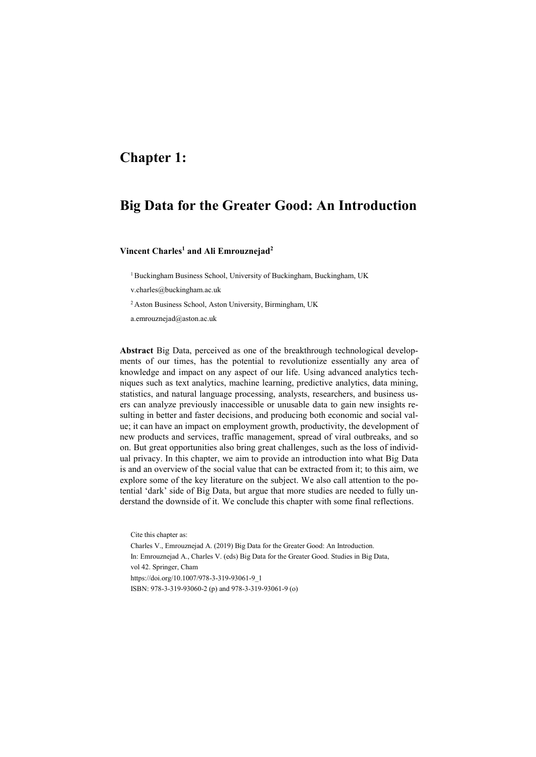# **Chapter 1:**

# **Big Data for the Greater Good: An Introduction**

### **Vincent Charles<sup>1</sup> and Ali Emrouznejad<sup>2</sup>**

<sup>1</sup> Buckingham Business School, University of Buckingham, Buckingham, UK

v.charles@buckingham.ac.uk

<sup>2</sup> Aston Business School, Aston University, Birmingham, UK

a.emrouznejad@aston.ac.uk

**Abstract** Big Data, perceived as one of the breakthrough technological developments of our times, has the potential to revolutionize essentially any area of knowledge and impact on any aspect of our life. Using advanced analytics techniques such as text analytics, machine learning, predictive analytics, data mining, statistics, and natural language processing, analysts, researchers, and business users can analyze previously inaccessible or unusable data to gain new insights resulting in better and faster decisions, and producing both economic and social value; it can have an impact on employment growth, productivity, the development of new products and services, traffic management, spread of viral outbreaks, and so on. But great opportunities also bring great challenges, such as the loss of individual privacy. In this chapter, we aim to provide an introduction into what Big Data is and an overview of the social value that can be extracted from it; to this aim, we explore some of the key literature on the subject. We also call attention to the potential 'dark' side of Big Data, but argue that more studies are needed to fully understand the downside of it. We conclude this chapter with some final reflections.

Cite this chapter as: Charles V., Emrouznejad A. (2019) Big Data for the Greater Good: An Introduction. In: Emrouznejad A., Charles V. (eds) Big Data for the Greater Good. Studies in Big Data, vol 42. Springer, Cham https://doi.org/10.1007/978-3-319-93061-9\_1 ISBN: 978-3-319-93060-2 (p) and 978-3-319-93061-9 (o)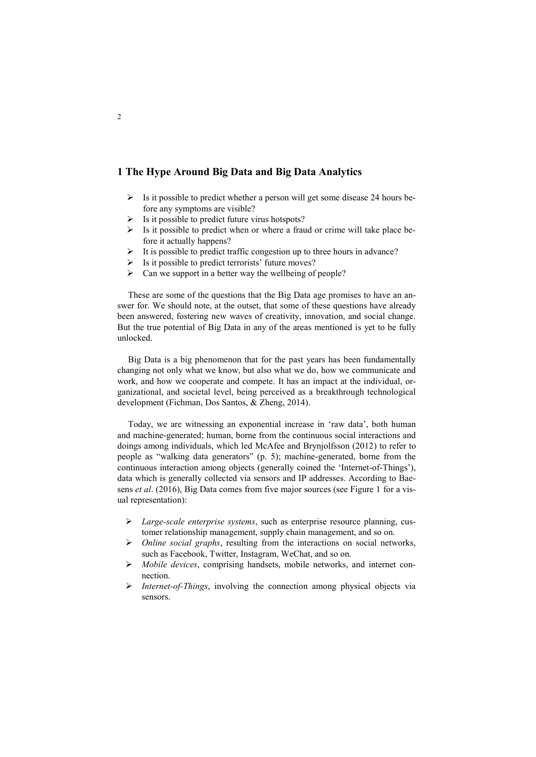## **1 The Hype Around Big Data and Big Data Analytics**

- $\triangleright$  Is it possible to predict whether a person will get some disease 24 hours before any symptoms are visible?
- $\triangleright$  Is it possible to predict future virus hotspots?
- $\triangleright$  Is it possible to predict when or where a fraud or crime will take place before it actually happens?
- $\triangleright$  It is possible to predict traffic congestion up to three hours in advance?
- $\triangleright$  Is it possible to predict terrorists' future moves?
- $\triangleright$  Can we support in a better way the wellbeing of people?

These are some of the questions that the Big Data age promises to have an answer for. We should note, at the outset, that some of these questions have already been answered, fostering new waves of creativity, innovation, and social change. But the true potential of Big Data in any of the areas mentioned is yet to be fully unlocked.

Big Data is a big phenomenon that for the past years has been fundamentally changing not only what we know, but also what we do, how we communicate and work, and how we cooperate and compete. It has an impact at the individual, organizational, and societal level, being perceived as a breakthrough technological development (Fichman, Dos Santos, & Zheng, 2014).

Today, we are witnessing an exponential increase in 'raw data', both human and machine-generated; human, borne from the continuous social interactions and doings among individuals, which led McAfee and Brynjolfsson (2012) to refer to people as "walking data generators" (p. 5); machine-generated, borne from the continuous interaction among objects (generally coined the 'Internet-of-Things'), data which is generally collected via sensors and IP addresses. According to Baesens *et al*. (2016), Big Data comes from five major sources (see Figure 1 for a visual representation):

- *Large-scale enterprise systems*, such as enterprise resource planning, customer relationship management, supply chain management, and so on.
- *Online social graphs*, resulting from the interactions on social networks, such as Facebook, Twitter, Instagram, WeChat, and so on.
- *Mobile devices*, comprising handsets, mobile networks, and internet connection.
- *Internet-of-Things*, involving the connection among physical objects via sensors.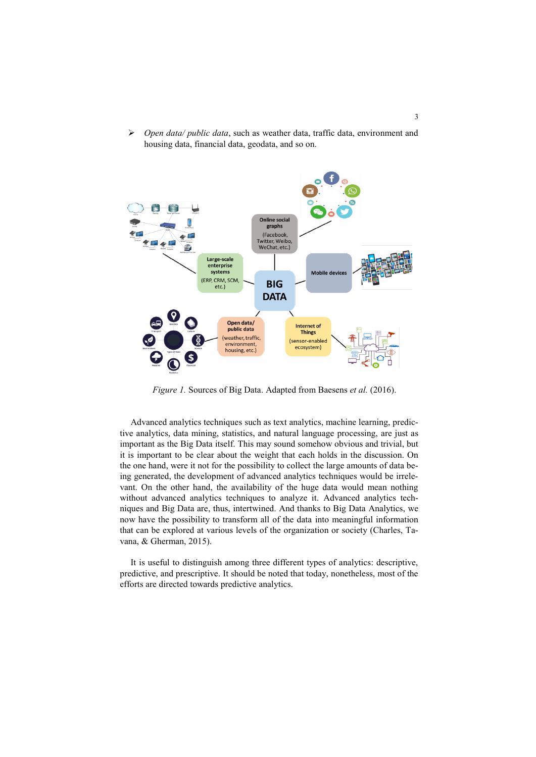*Open data/ public data*, such as weather data, traffic data, environment and housing data, financial data, geodata, and so on.



*Figure 1.* Sources of Big Data. Adapted from Baesens *et al.* (2016).

Advanced analytics techniques such as text analytics, machine learning, predictive analytics, data mining, statistics, and natural language processing, are just as important as the Big Data itself. This may sound somehow obvious and trivial, but it is important to be clear about the weight that each holds in the discussion. On the one hand, were it not for the possibility to collect the large amounts of data being generated, the development of advanced analytics techniques would be irrelevant. On the other hand, the availability of the huge data would mean nothing without advanced analytics techniques to analyze it. Advanced analytics techniques and Big Data are, thus, intertwined. And thanks to Big Data Analytics, we now have the possibility to transform all of the data into meaningful information that can be explored at various levels of the organization or society (Charles, Tavana, & Gherman, 2015).

It is useful to distinguish among three different types of analytics: descriptive, predictive, and prescriptive. It should be noted that today, nonetheless, most of the efforts are directed towards predictive analytics.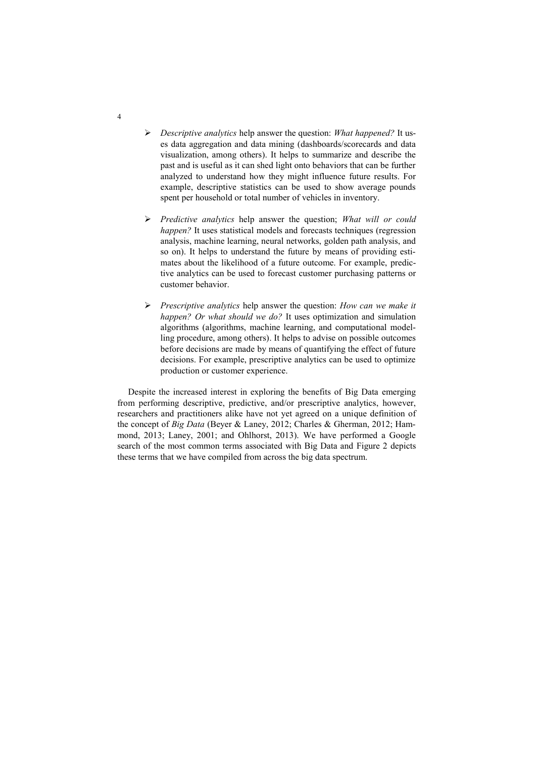- *Descriptive analytics* help answer the question: *What happened?* It uses data aggregation and data mining (dashboards/scorecards and data visualization, among others). It helps to summarize and describe the past and is useful as it can shed light onto behaviors that can be further analyzed to understand how they might influence future results. For example, descriptive statistics can be used to show average pounds spent per household or total number of vehicles in inventory.
- *Predictive analytics* help answer the question; *What will or could happen?* It uses statistical models and forecasts techniques (regression analysis, machine learning, neural networks, golden path analysis, and so on). It helps to understand the future by means of providing estimates about the likelihood of a future outcome. For example, predictive analytics can be used to forecast customer purchasing patterns or customer behavior.
- *Prescriptive analytics* help answer the question: *How can we make it happen? Or what should we do?* It uses optimization and simulation algorithms (algorithms, machine learning, and computational modelling procedure, among others). It helps to advise on possible outcomes before decisions are made by means of quantifying the effect of future decisions. For example, prescriptive analytics can be used to optimize production or customer experience.

Despite the increased interest in exploring the benefits of Big Data emerging from performing descriptive, predictive, and/or prescriptive analytics, however, researchers and practitioners alike have not yet agreed on a unique definition of the concept of *Big Data* (Beyer & Laney, 2012; Charles & Gherman, 2012; Hammond, 2013; Laney, 2001; and Ohlhorst, 2013). We have performed a Google search of the most common terms associated with Big Data and Figure 2 depicts these terms that we have compiled from across the big data spectrum.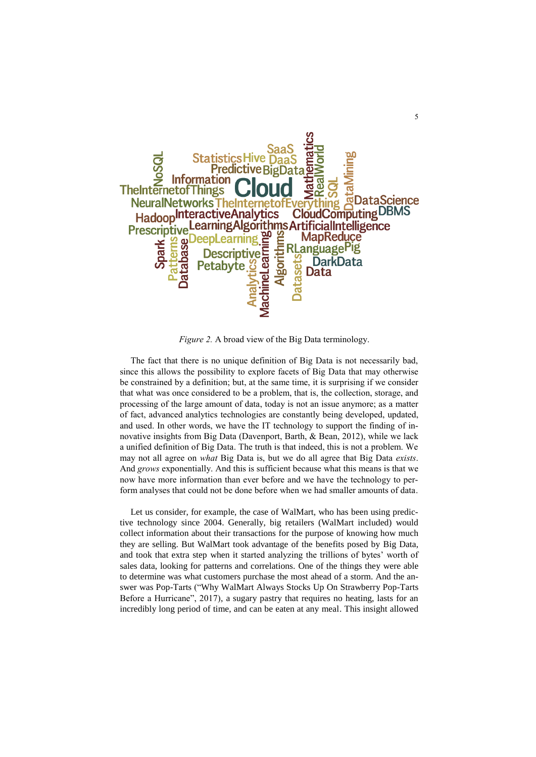

*Figure 2.* A broad view of the Big Data terminology.

The fact that there is no unique definition of Big Data is not necessarily bad, since this allows the possibility to explore facets of Big Data that may otherwise be constrained by a definition; but, at the same time, it is surprising if we consider that what was once considered to be a problem, that is, the collection, storage, and processing of the large amount of data, today is not an issue anymore; as a matter of fact, advanced analytics technologies are constantly being developed, updated, and used. In other words, we have the IT technology to support the finding of innovative insights from Big Data (Davenport, Barth, & Bean, 2012), while we lack a unified definition of Big Data. The truth is that indeed, this is not a problem. We may not all agree on *what* Big Data is, but we do all agree that Big Data *exists*. And *grows* exponentially. And this is sufficient because what this means is that we now have more information than ever before and we have the technology to perform analyses that could not be done before when we had smaller amounts of data.

Let us consider, for example, the case of WalMart, who has been using predictive technology since 2004. Generally, big retailers (WalMart included) would collect information about their transactions for the purpose of knowing how much they are selling. But WalMart took advantage of the benefits posed by Big Data, and took that extra step when it started analyzing the trillions of bytes' worth of sales data, looking for patterns and correlations. One of the things they were able to determine was what customers purchase the most ahead of a storm. And the answer was Pop-Tarts ("Why WalMart Always Stocks Up On Strawberry Pop-Tarts Before a Hurricane", 2017), a sugary pastry that requires no heating, lasts for an incredibly long period of time, and can be eaten at any meal. This insight allowed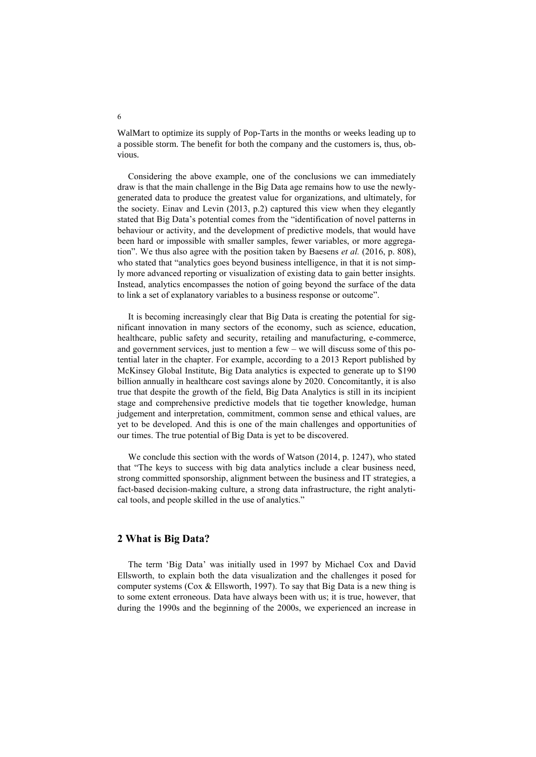WalMart to optimize its supply of Pop-Tarts in the months or weeks leading up to a possible storm. The benefit for both the company and the customers is, thus, obvious.

Considering the above example, one of the conclusions we can immediately draw is that the main challenge in the Big Data age remains how to use the newlygenerated data to produce the greatest value for organizations, and ultimately, for the society. Einav and Levin (2013, p.2) captured this view when they elegantly stated that Big Data's potential comes from the "identification of novel patterns in behaviour or activity, and the development of predictive models, that would have been hard or impossible with smaller samples, fewer variables, or more aggregation". We thus also agree with the position taken by Baesens *et al.* (2016, p. 808), who stated that "analytics goes beyond business intelligence, in that it is not simply more advanced reporting or visualization of existing data to gain better insights. Instead, analytics encompasses the notion of going beyond the surface of the data to link a set of explanatory variables to a business response or outcome".

It is becoming increasingly clear that Big Data is creating the potential for significant innovation in many sectors of the economy, such as science, education, healthcare, public safety and security, retailing and manufacturing, e-commerce, and government services, just to mention a few – we will discuss some of this potential later in the chapter. For example, according to a 2013 Report published by McKinsey Global Institute, Big Data analytics is expected to generate up to \$190 billion annually in healthcare cost savings alone by 2020. Concomitantly, it is also true that despite the growth of the field, Big Data Analytics is still in its incipient stage and comprehensive predictive models that tie together knowledge, human judgement and interpretation, commitment, common sense and ethical values, are yet to be developed. And this is one of the main challenges and opportunities of our times. The true potential of Big Data is yet to be discovered.

We conclude this section with the words of Watson (2014, p. 1247), who stated that "The keys to success with big data analytics include a clear business need, strong committed sponsorship, alignment between the business and IT strategies, a fact-based decision-making culture, a strong data infrastructure, the right analytical tools, and people skilled in the use of analytics."

## **2 What is Big Data?**

The term 'Big Data' was initially used in 1997 by Michael Cox and David Ellsworth, to explain both the data visualization and the challenges it posed for computer systems (Cox & Ellsworth, 1997). To say that Big Data is a new thing is to some extent erroneous. Data have always been with us; it is true, however, that during the 1990s and the beginning of the 2000s, we experienced an increase in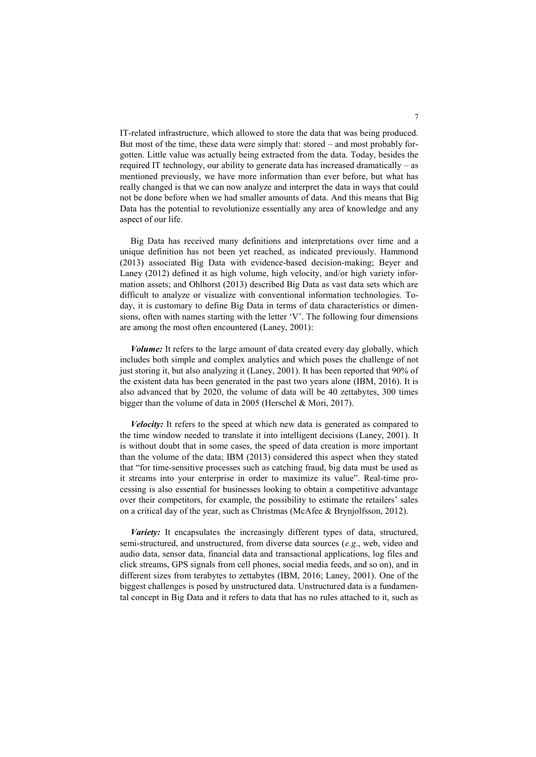IT-related infrastructure, which allowed to store the data that was being produced. But most of the time, these data were simply that: stored – and most probably forgotten. Little value was actually being extracted from the data. Today, besides the required IT technology, our ability to generate data has increased dramatically – as mentioned previously, we have more information than ever before, but what has really changed is that we can now analyze and interpret the data in ways that could not be done before when we had smaller amounts of data. And this means that Big Data has the potential to revolutionize essentially any area of knowledge and any aspect of our life.

Big Data has received many definitions and interpretations over time and a unique definition has not been yet reached, as indicated previously. Hammond (2013) associated Big Data with evidence-based decision-making; Beyer and Laney (2012) defined it as high volume, high velocity, and/or high variety information assets; and Ohlhorst (2013) described Big Data as vast data sets which are difficult to analyze or visualize with conventional information technologies. Today, it is customary to define Big Data in terms of data characteristics or dimensions, often with names starting with the letter 'V'. The following four dimensions are among the most often encountered (Laney, 2001):

*Volume:* It refers to the large amount of data created every day globally, which includes both simple and complex analytics and which poses the challenge of not just storing it, but also analyzing it (Laney, 2001). It has been reported that 90% of the existent data has been generated in the past two years alone (IBM, 2016). It is also advanced that by 2020, the volume of data will be 40 zettabytes, 300 times bigger than the volume of data in 2005 (Herschel & Mori, 2017).

*Velocity:* It refers to the speed at which new data is generated as compared to the time window needed to translate it into intelligent decisions (Laney, 2001). It is without doubt that in some cases, the speed of data creation is more important than the volume of the data; IBM (2013) considered this aspect when they stated that "for time-sensitive processes such as catching fraud, big data must be used as it streams into your enterprise in order to maximize its value". Real-time processing is also essential for businesses looking to obtain a competitive advantage over their competitors, for example, the possibility to estimate the retailers' sales on a critical day of the year, such as Christmas (McAfee & Brynjolfsson, 2012).

*Variety:* It encapsulates the increasingly different types of data, structured, semi-structured, and unstructured, from diverse data sources (*e.g*., web, video and audio data, sensor data, financial data and transactional applications, log files and click streams, GPS signals from cell phones, social media feeds, and so on), and in different sizes from terabytes to zettabytes (IBM, 2016; Laney, 2001). One of the biggest challenges is posed by unstructured data. Unstructured data is a fundamental concept in Big Data and it refers to data that has no rules attached to it, such as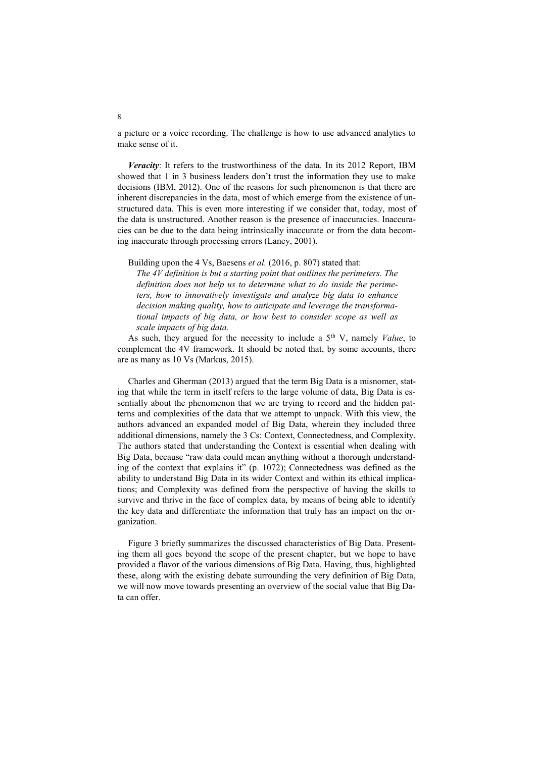a picture or a voice recording. The challenge is how to use advanced analytics to make sense of it.

*Veracity*: It refers to the trustworthiness of the data. In its 2012 Report, IBM showed that 1 in 3 business leaders don't trust the information they use to make decisions (IBM, 2012). One of the reasons for such phenomenon is that there are inherent discrepancies in the data, most of which emerge from the existence of unstructured data. This is even more interesting if we consider that, today, most of the data is unstructured. Another reason is the presence of inaccuracies. Inaccuracies can be due to the data being intrinsically inaccurate or from the data becoming inaccurate through processing errors (Laney, 2001).

Building upon the 4 Vs, Baesens *et al.* (2016, p. 807) stated that:

*The 4V definition is but a starting point that outlines the perimeters. The definition does not help us to determine what to do inside the perimeters, how to innovatively investigate and analyze big data to enhance decision making quality, how to anticipate and leverage the transformational impacts of big data, or how best to consider scope as well as scale impacts of big data.*

As such, they argued for the necessity to include a 5<sup>th</sup> V, namely *Value*, to complement the 4V framework. It should be noted that, by some accounts, there are as many as 10 Vs (Markus, 2015).

Charles and Gherman (2013) argued that the term Big Data is a misnomer, stating that while the term in itself refers to the large volume of data, Big Data is essentially about the phenomenon that we are trying to record and the hidden patterns and complexities of the data that we attempt to unpack. With this view, the authors advanced an expanded model of Big Data, wherein they included three additional dimensions, namely the 3 Cs: Context, Connectedness, and Complexity. The authors stated that understanding the Context is essential when dealing with Big Data, because "raw data could mean anything without a thorough understanding of the context that explains it" (p. 1072); Connectedness was defined as the ability to understand Big Data in its wider Context and within its ethical implications; and Complexity was defined from the perspective of having the skills to survive and thrive in the face of complex data, by means of being able to identify the key data and differentiate the information that truly has an impact on the organization.

Figure 3 briefly summarizes the discussed characteristics of Big Data. Presenting them all goes beyond the scope of the present chapter, but we hope to have provided a flavor of the various dimensions of Big Data. Having, thus, highlighted these, along with the existing debate surrounding the very definition of Big Data, we will now move towards presenting an overview of the social value that Big Data can offer.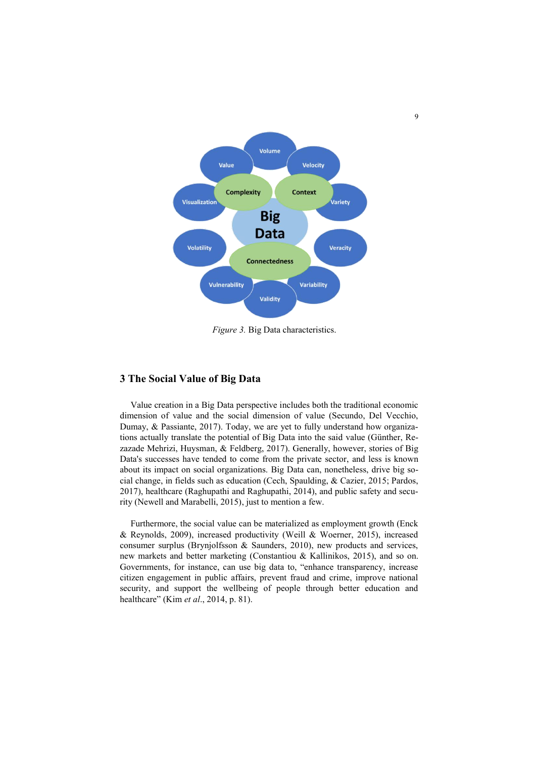

*Figure 3.* Big Data characteristics.

## **3 The Social Value of Big Data**

Value creation in a Big Data perspective includes both the traditional economic dimension of value and the social dimension of value (Secundo, Del Vecchio, Dumay, & Passiante, 2017). Today, we are yet to fully understand how organizations actually translate the potential of Big Data into the said value (Günther, Rezazade Mehrizi, Huysman, & Feldberg, 2017). Generally, however, stories of Big Data's successes have tended to come from the private sector, and less is known about its impact on social organizations. Big Data can, nonetheless, drive big social change, in fields such as education (Cech, Spaulding, & Cazier, 2015; Pardos, 2017), healthcare (Raghupathi and Raghupathi, 2014), and public safety and security (Newell and Marabelli, 2015), just to mention a few.

Furthermore, the social value can be materialized as employment growth (Enck & Reynolds, 2009), increased productivity (Weill & Woerner, 2015), increased consumer surplus (Brynjolfsson & Saunders, 2010), new products and services, new markets and better marketing (Constantiou & Kallinikos, 2015), and so on. Governments, for instance, can use big data to, "enhance transparency, increase citizen engagement in public affairs, prevent fraud and crime, improve national security, and support the wellbeing of people through better education and healthcare" (Kim *et al*., 2014, p. 81).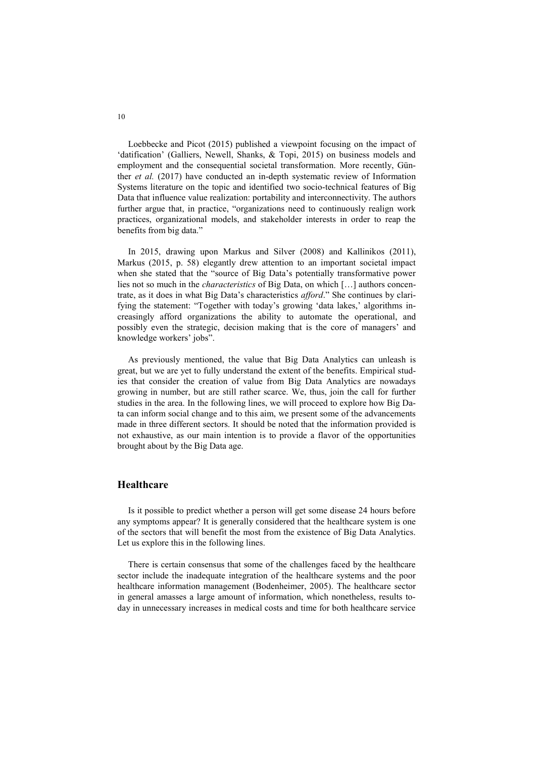Loebbecke and Picot (2015) published a viewpoint focusing on the impact of 'datification' (Galliers, Newell, Shanks, & Topi, 2015) on business models and employment and the consequential societal transformation. More recently, Günther *et al.* (2017) have conducted an in-depth systematic review of Information Systems literature on the topic and identified two socio-technical features of Big Data that influence value realization: portability and interconnectivity. The authors further argue that, in practice, "organizations need to continuously realign work practices, organizational models, and stakeholder interests in order to reap the benefits from big data."

In 2015, drawing upon Markus and Silver (2008) and Kallinikos (2011), Markus (2015, p. 58) elegantly drew attention to an important societal impact when she stated that the "source of Big Data's potentially transformative power lies not so much in the *characteristics* of Big Data, on which […] authors concentrate, as it does in what Big Data's characteristics *afford*." She continues by clarifying the statement: "Together with today's growing 'data lakes,' algorithms increasingly afford organizations the ability to automate the operational, and possibly even the strategic, decision making that is the core of managers' and knowledge workers' jobs".

As previously mentioned, the value that Big Data Analytics can unleash is great, but we are yet to fully understand the extent of the benefits. Empirical studies that consider the creation of value from Big Data Analytics are nowadays growing in number, but are still rather scarce. We, thus, join the call for further studies in the area. In the following lines, we will proceed to explore how Big Data can inform social change and to this aim, we present some of the advancements made in three different sectors. It should be noted that the information provided is not exhaustive, as our main intention is to provide a flavor of the opportunities brought about by the Big Data age.

#### **Healthcare**

Is it possible to predict whether a person will get some disease 24 hours before any symptoms appear? It is generally considered that the healthcare system is one of the sectors that will benefit the most from the existence of Big Data Analytics. Let us explore this in the following lines.

There is certain consensus that some of the challenges faced by the healthcare sector include the inadequate integration of the healthcare systems and the poor healthcare information management (Bodenheimer, 2005). The healthcare sector in general amasses a large amount of information, which nonetheless, results today in unnecessary increases in medical costs and time for both healthcare service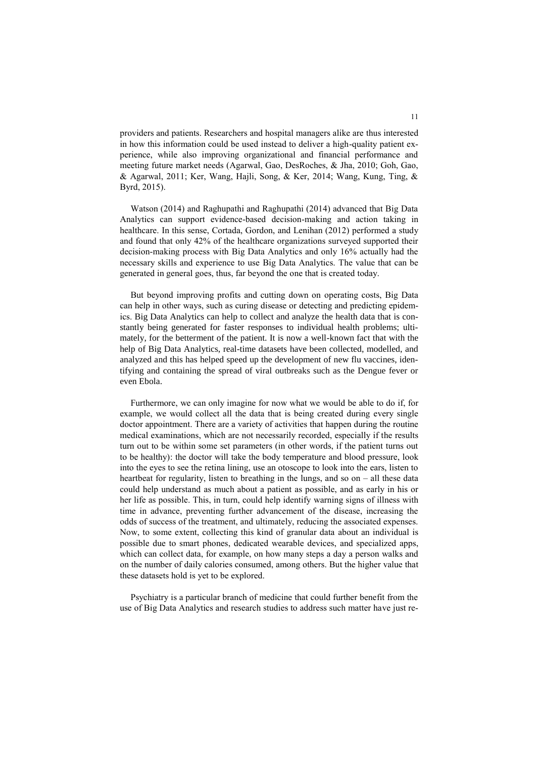providers and patients. Researchers and hospital managers alike are thus interested in how this information could be used instead to deliver a high-quality patient experience, while also improving organizational and financial performance and meeting future market needs (Agarwal, Gao, DesRoches, & Jha, 2010; Goh, Gao, & Agarwal, 2011; Ker, Wang, Hajli, Song, & Ker, 2014; Wang, Kung, Ting, & Byrd, 2015).

Watson (2014) and Raghupathi and Raghupathi (2014) advanced that Big Data Analytics can support evidence-based decision-making and action taking in healthcare. In this sense, Cortada, Gordon, and Lenihan (2012) performed a study and found that only 42% of the healthcare organizations surveyed supported their decision-making process with Big Data Analytics and only 16% actually had the necessary skills and experience to use Big Data Analytics. The value that can be generated in general goes, thus, far beyond the one that is created today.

But beyond improving profits and cutting down on operating costs, Big Data can help in other ways, such as curing disease or detecting and predicting epidemics. Big Data Analytics can help to collect and analyze the health data that is constantly being generated for faster responses to individual health problems; ultimately, for the betterment of the patient. It is now a well-known fact that with the help of Big Data Analytics, real-time datasets have been collected, modelled, and analyzed and this has helped speed up the development of new flu vaccines, identifying and containing the spread of viral outbreaks such as the Dengue fever or even Ebola.

Furthermore, we can only imagine for now what we would be able to do if, for example, we would collect all the data that is being created during every single doctor appointment. There are a variety of activities that happen during the routine medical examinations, which are not necessarily recorded, especially if the results turn out to be within some set parameters (in other words, if the patient turns out to be healthy): the doctor will take the body temperature and blood pressure, look into the eyes to see the retina lining, use an otoscope to look into the ears, listen to heartbeat for regularity, listen to breathing in the lungs, and so on – all these data could help understand as much about a patient as possible, and as early in his or her life as possible. This, in turn, could help identify warning signs of illness with time in advance, preventing further advancement of the disease, increasing the odds of success of the treatment, and ultimately, reducing the associated expenses. Now, to some extent, collecting this kind of granular data about an individual is possible due to smart phones, dedicated wearable devices, and specialized apps, which can collect data, for example, on how many steps a day a person walks and on the number of daily calories consumed, among others. But the higher value that these datasets hold is yet to be explored.

Psychiatry is a particular branch of medicine that could further benefit from the use of Big Data Analytics and research studies to address such matter have just re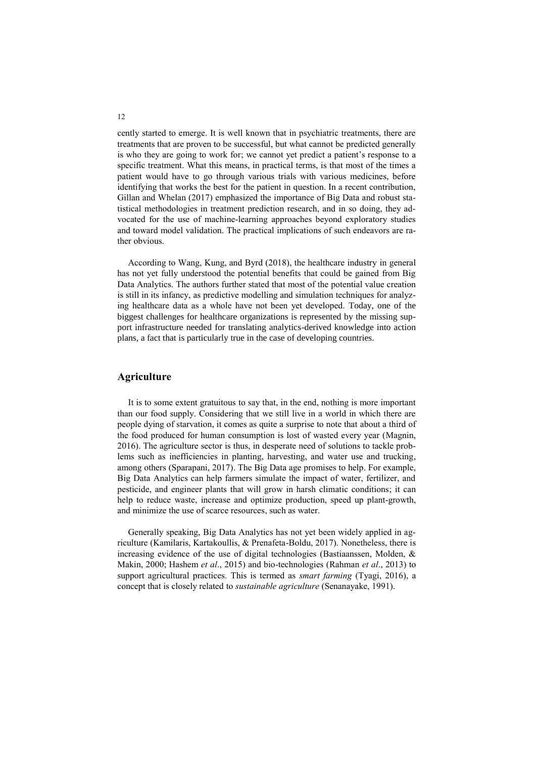cently started to emerge. It is well known that in psychiatric treatments, there are treatments that are proven to be successful, but what cannot be predicted generally is who they are going to work for; we cannot yet predict a patient's response to a specific treatment. What this means, in practical terms, is that most of the times a patient would have to go through various trials with various medicines, before identifying that works the best for the patient in question. In a recent contribution, Gillan and Whelan (2017) emphasized the importance of Big Data and robust statistical methodologies in treatment prediction research, and in so doing, they advocated for the use of machine-learning approaches beyond exploratory studies and toward model validation. The practical implications of such endeavors are rather obvious.

According to Wang, Kung, and Byrd (2018), the healthcare industry in general has not yet fully understood the potential benefits that could be gained from Big Data Analytics. The authors further stated that most of the potential value creation is still in its infancy, as predictive modelling and simulation techniques for analyzing healthcare data as a whole have not been yet developed. Today, one of the biggest challenges for healthcare organizations is represented by the missing support infrastructure needed for translating analytics-derived knowledge into action plans, a fact that is particularly true in the case of developing countries.

## **Agriculture**

It is to some extent gratuitous to say that, in the end, nothing is more important than our food supply. Considering that we still live in a world in which there are people dying of starvation, it comes as quite a surprise to note that about a third of the food produced for human consumption is lost of wasted every year (Magnin, 2016). The agriculture sector is thus, in desperate need of solutions to tackle problems such as inefficiencies in planting, harvesting, and water use and trucking, among others (Sparapani, 2017). The Big Data age promises to help. For example, Big Data Analytics can help farmers simulate the impact of water, fertilizer, and pesticide, and engineer plants that will grow in harsh climatic conditions; it can help to reduce waste, increase and optimize production, speed up plant-growth, and minimize the use of scarce resources, such as water.

Generally speaking, Big Data Analytics has not yet been widely applied in agriculture (Kamilaris, Kartakoullis, & Prenafeta-Boldu, 2017). Nonetheless, there is increasing evidence of the use of digital technologies (Bastiaanssen, Molden, & Makin, 2000; Hashem *et al*., 2015) and bio-technologies (Rahman *et al*., 2013) to support agricultural practices. This is termed as *smart farming* (Tyagi, 2016), a concept that is closely related to *sustainable agriculture* (Senanayake, 1991).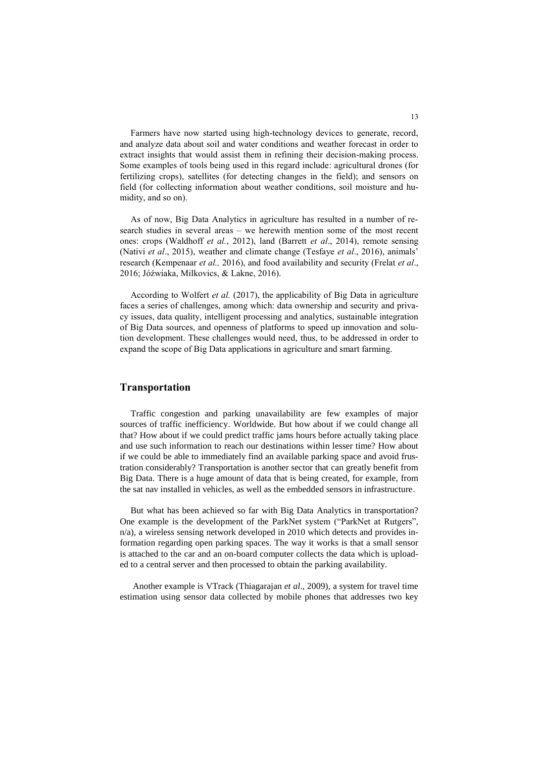Farmers have now started using high-technology devices to generate, record, and analyze data about soil and water conditions and weather forecast in order to extract insights that would assist them in refining their decision-making process. Some examples of tools being used in this regard include: agricultural drones (for fertilizing crops), satellites (for detecting changes in the field); and sensors on field (for collecting information about weather conditions, soil moisture and humidity, and so on).

As of now, Big Data Analytics in agriculture has resulted in a number of research studies in several areas – we herewith mention some of the most recent ones: crops (Waldhoff *et al.*, 2012), land (Barrett *et al*., 2014), remote sensing (Nativi *et al*., 2015), weather and climate change (Tesfaye *et al*., 2016), animals' research (Kempenaar *et al.,* 2016), and food availability and security (Frelat *et al*., 2016; Jóźwiaka, Milkovics, & Lakne, 2016).

According to Wolfert *et al.* (2017), the applicability of Big Data in agriculture faces a series of challenges, among which: data ownership and security and privacy issues, data quality, intelligent processing and analytics, sustainable integration of Big Data sources, and openness of platforms to speed up innovation and solution development. These challenges would need, thus, to be addressed in order to expand the scope of Big Data applications in agriculture and smart farming.

### **Transportation**

Traffic congestion and parking unavailability are few examples of major sources of traffic inefficiency. Worldwide. But how about if we could change all that? How about if we could predict traffic jams hours before actually taking place and use such information to reach our destinations within lesser time? How about if we could be able to immediately find an available parking space and avoid frustration considerably? Transportation is another sector that can greatly benefit from Big Data. There is a huge amount of data that is being created, for example, from the sat nav installed in vehicles, as well as the embedded sensors in infrastructure.

But what has been achieved so far with Big Data Analytics in transportation? One example is the development of the ParkNet system ("ParkNet at Rutgers", n/a), a wireless sensing network developed in 2010 which detects and provides information regarding open parking spaces. The way it works is that a small sensor is attached to the car and an on-board computer collects the data which is uploaded to a central server and then processed to obtain the parking availability.

Another example is VTrack (Thiagarajan *et al*., 2009), a system for travel time estimation using sensor data collected by mobile phones that addresses two key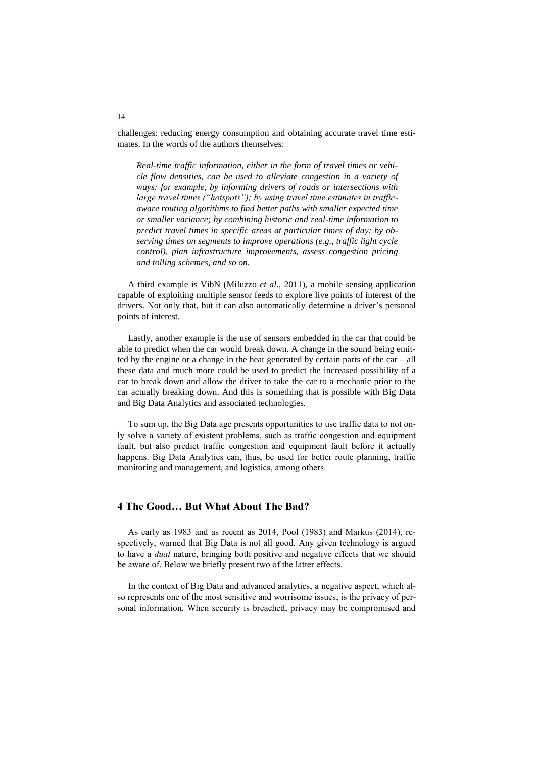challenges: reducing energy consumption and obtaining accurate travel time estimates. In the words of the authors themselves:

*Real-time traffic information, either in the form of travel times or vehicle flow densities, can be used to alleviate congestion in a variety of ways: for example, by informing drivers of roads or intersections with large travel times ("hotspots"); by using travel time estimates in trafficaware routing algorithms to find better paths with smaller expected time or smaller variance; by combining historic and real-time information to predict travel times in specific areas at particular times of day; by observing times on segments to improve operations (e.g., traffic light cycle control), plan infrastructure improvements, assess congestion pricing and tolling schemes, and so on.*

A third example is VibN (Miluzzo *et al*., 2011), a mobile sensing application capable of exploiting multiple sensor feeds to explore live points of interest of the drivers. Not only that, but it can also automatically determine a driver's personal points of interest.

Lastly, another example is the use of sensors embedded in the car that could be able to predict when the car would break down. A change in the sound being emitted by the engine or a change in the heat generated by certain parts of the car – all these data and much more could be used to predict the increased possibility of a car to break down and allow the driver to take the car to a mechanic prior to the car actually breaking down. And this is something that is possible with Big Data and Big Data Analytics and associated technologies.

To sum up, the Big Data age presents opportunities to use traffic data to not only solve a variety of existent problems, such as traffic congestion and equipment fault, but also predict traffic congestion and equipment fault before it actually happens. Big Data Analytics can, thus, be used for better route planning, traffic monitoring and management, and logistics, among others.

# **4 The Good… But What About The Bad?**

As early as 1983 and as recent as 2014, Pool (1983) and Markus (2014), respectively, warned that Big Data is not all good. Any given technology is argued to have a *dual* nature, bringing both positive and negative effects that we should be aware of. Below we briefly present two of the latter effects.

In the context of Big Data and advanced analytics, a negative aspect, which also represents one of the most sensitive and worrisome issues, is the privacy of personal information. When security is breached, privacy may be compromised and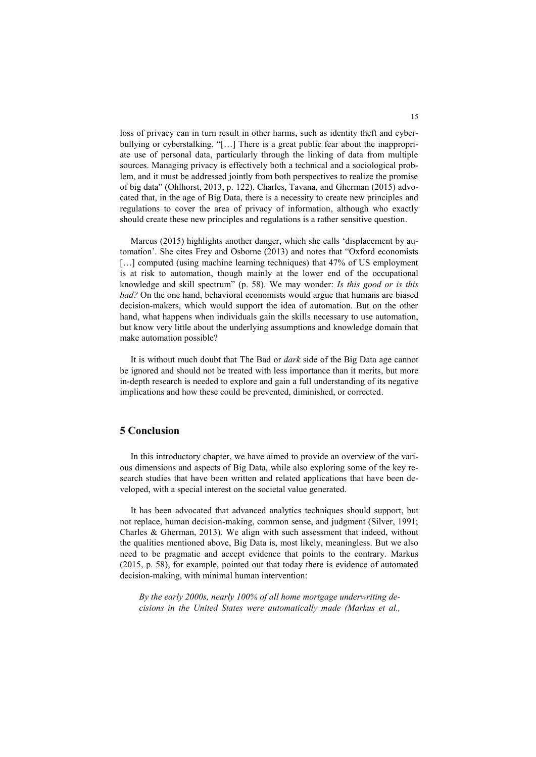loss of privacy can in turn result in other harms, such as identity theft and cyberbullying or cyberstalking. "[…] There is a great public fear about the inappropriate use of personal data, particularly through the linking of data from multiple sources. Managing privacy is effectively both a technical and a sociological problem, and it must be addressed jointly from both perspectives to realize the promise of big data" (Ohlhorst, 2013, p. 122). Charles, Tavana, and Gherman (2015) advocated that, in the age of Big Data, there is a necessity to create new principles and regulations to cover the area of privacy of information, although who exactly should create these new principles and regulations is a rather sensitive question.

Marcus (2015) highlights another danger, which she calls 'displacement by automation'. She cites Frey and Osborne (2013) and notes that "Oxford economists [...] computed (using machine learning techniques) that 47% of US employment is at risk to automation, though mainly at the lower end of the occupational knowledge and skill spectrum" (p. 58). We may wonder: *Is this good or is this bad?* On the one hand, behavioral economists would argue that humans are biased decision-makers, which would support the idea of automation. But on the other hand, what happens when individuals gain the skills necessary to use automation, but know very little about the underlying assumptions and knowledge domain that make automation possible?

It is without much doubt that The Bad or *dark* side of the Big Data age cannot be ignored and should not be treated with less importance than it merits, but more in-depth research is needed to explore and gain a full understanding of its negative implications and how these could be prevented, diminished, or corrected.

## **5 Conclusion**

In this introductory chapter, we have aimed to provide an overview of the various dimensions and aspects of Big Data, while also exploring some of the key research studies that have been written and related applications that have been developed, with a special interest on the societal value generated.

It has been advocated that advanced analytics techniques should support, but not replace, human decision-making, common sense, and judgment (Silver, 1991; Charles & Gherman, 2013). We align with such assessment that indeed, without the qualities mentioned above, Big Data is, most likely, meaningless. But we also need to be pragmatic and accept evidence that points to the contrary. Markus (2015, p. 58), for example, pointed out that today there is evidence of automated decision-making, with minimal human intervention:

*By the early 2000s, nearly 100% of all home mortgage underwriting decisions in the United States were automatically made (Markus et al.,*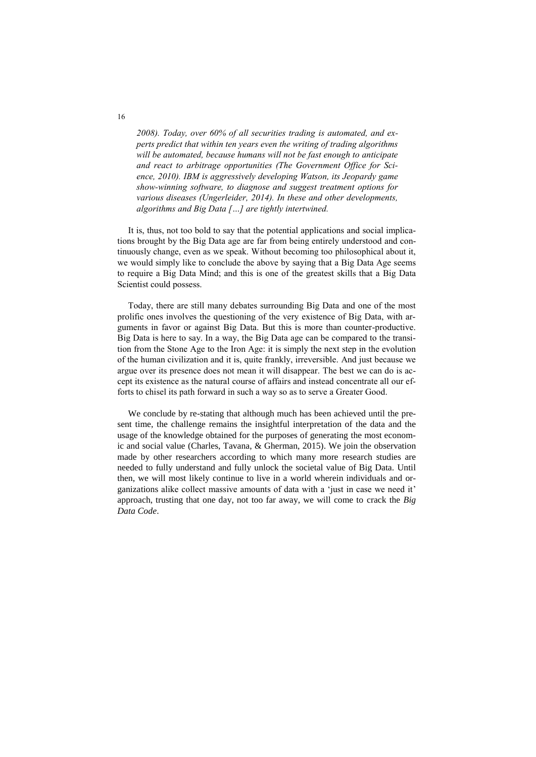*2008). Today, over 60% of all securities trading is automated, and experts predict that within ten years even the writing of trading algorithms will be automated, because humans will not be fast enough to anticipate and react to arbitrage opportunities (The Government Office for Science, 2010). IBM is aggressively developing Watson, its Jeopardy game show-winning software, to diagnose and suggest treatment options for various diseases (Ungerleider, 2014). In these and other developments, algorithms and Big Data […] are tightly intertwined.*

It is, thus, not too bold to say that the potential applications and social implications brought by the Big Data age are far from being entirely understood and continuously change, even as we speak. Without becoming too philosophical about it, we would simply like to conclude the above by saying that a Big Data Age seems to require a Big Data Mind; and this is one of the greatest skills that a Big Data Scientist could possess.

Today, there are still many debates surrounding Big Data and one of the most prolific ones involves the questioning of the very existence of Big Data, with arguments in favor or against Big Data. But this is more than counter-productive. Big Data is here to say. In a way, the Big Data age can be compared to the transition from the Stone Age to the Iron Age: it is simply the next step in the evolution of the human civilization and it is, quite frankly, irreversible. And just because we argue over its presence does not mean it will disappear. The best we can do is accept its existence as the natural course of affairs and instead concentrate all our efforts to chisel its path forward in such a way so as to serve a Greater Good.

We conclude by re-stating that although much has been achieved until the present time, the challenge remains the insightful interpretation of the data and the usage of the knowledge obtained for the purposes of generating the most economic and social value (Charles, Tavana, & Gherman, 2015). We join the observation made by other researchers according to which many more research studies are needed to fully understand and fully unlock the societal value of Big Data. Until then, we will most likely continue to live in a world wherein individuals and organizations alike collect massive amounts of data with a 'just in case we need it' approach, trusting that one day, not too far away, we will come to crack the *Big Data Code*.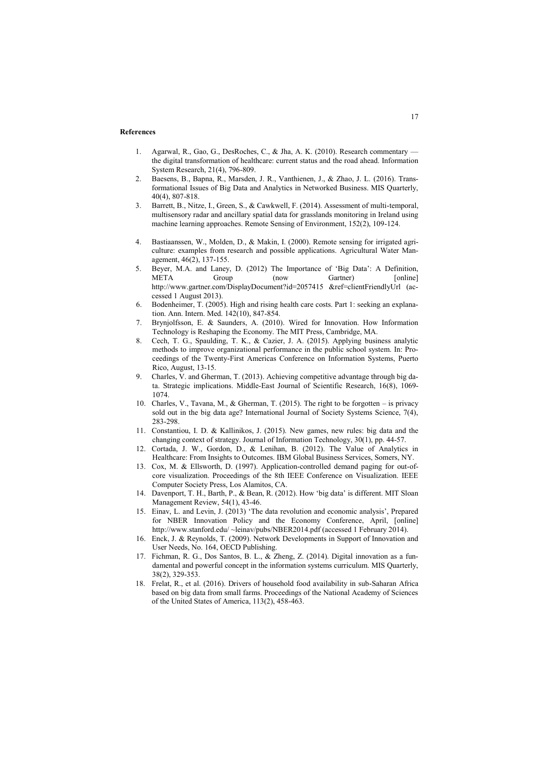#### **References**

- 1. Agarwal, R., Gao, G., DesRoches, C., & Jha, A. K. (2010). Research commentary the digital transformation of healthcare: current status and the road ahead. Information System Research, 21(4), 796-809.
- 2. Baesens, B., Bapna, R., Marsden, J. R., Vanthienen, J., & Zhao, J. L. (2016). Transformational Issues of Big Data and Analytics in Networked Business. MIS Quarterly, 40(4), 807-818.
- 3. Barrett, B., Nitze, I., Green, S., & Cawkwell, F. (2014). Assessment of multi-temporal, multisensory radar and ancillary spatial data for grasslands monitoring in Ireland using machine learning approaches. Remote Sensing of Environment, 152(2), 109-124.
- 4. Bastiaanssen, W., Molden, D., & Makin, I. (2000). Remote sensing for irrigated agriculture: examples from research and possible applications. Agricultural Water Management, 46(2), 137-155.
- 5. Beyer, M.A. and Laney, D. (2012) The Importance of 'Big Data': A Definition, META Group (now Gartner) [online] http://www.gartner.com/DisplayDocument?id=2057415 &ref=clientFriendlyUrl (accessed 1 August 2013).
- 6. Bodenheimer, T. (2005). High and rising health care costs. Part 1: seeking an explanation. Ann. Intern. Med. 142(10), 847-854.
- 7. Brynjolfsson, E. & Saunders, A. (2010). Wired for Innovation. How Information Technology is Reshaping the Economy. The MIT Press, Cambridge, MA.
- 8. Cech, T. G., Spaulding, T. K., & Cazier, J. A. (2015). Applying business analytic methods to improve organizational performance in the public school system. In: Proceedings of the Twenty-First Americas Conference on Information Systems, Puerto Rico, August, 13-15.
- 9. Charles, V. and Gherman, T. (2013). Achieving competitive advantage through big data. Strategic implications. Middle-East Journal of Scientific Research, 16(8), 1069- 1074.
- 10. Charles, V., Tavana, M., & Gherman, T. (2015). The right to be forgotten is privacy sold out in the big data age? International Journal of Society Systems Science, 7(4), 283-298.
- 11. Constantiou, I. D. & Kallinikos, J. (2015). New games, new rules: big data and the changing context of strategy. Journal of Information Technology, 30(1), pp. 44-57.
- 12. Cortada, J. W., Gordon, D., & Lenihan, B. (2012). The Value of Analytics in Healthcare: From Insights to Outcomes. IBM Global Business Services, Somers, NY.
- 13. Cox, M. & Ellsworth, D. (1997). Application-controlled demand paging for out-ofcore visualization. Proceedings of the 8th IEEE Conference on Visualization. IEEE Computer Society Press, Los Alamitos, CA.
- 14. Davenport, T. H., Barth, P., & Bean, R. (2012). How 'big data' is different. MIT Sloan Management Review, 54(1), 43-46.
- 15. Einav, L. and Levin, J. (2013) 'The data revolution and economic analysis', Prepared for NBER Innovation Policy and the Economy Conference, April, [online] http://www.stanford.edu/ ~leinav/pubs/NBER2014.pdf (accessed 1 February 2014).
- 16. Enck, J. & Reynolds, T. (2009). Network Developments in Support of Innovation and User Needs, No. 164, OECD Publishing.
- 17. Fichman, R. G., Dos Santos, B. L., & Zheng, Z. (2014). Digital innovation as a fundamental and powerful concept in the information systems curriculum. MIS Quarterly, 38(2), 329-353.
- 18. Frelat, R., et al. (2016). Drivers of household food availability in sub-Saharan Africa based on big data from small farms. Proceedings of the National Academy of Sciences of the United States of America, 113(2), 458-463.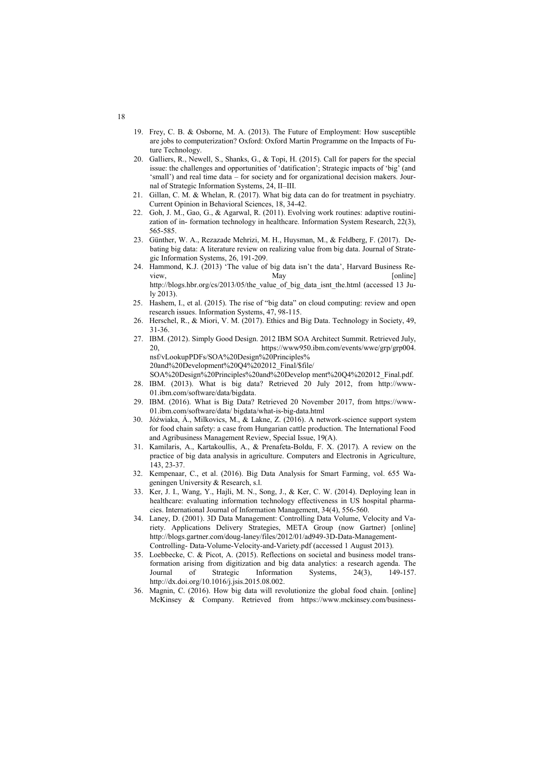- 19. Frey, C. B. & Osborne, M. A. (2013). The Future of Employment: How susceptible are jobs to computerization? Oxford: Oxford Martin Programme on the Impacts of Future Technology.
- 20. Galliers, R., Newell, S., Shanks, G., & Topi, H. (2015). Call for papers for the special issue: the challenges and opportunities of 'datification'; Strategic impacts of 'big' (and 'small') and real time data – for society and for organizational decision makers. Journal of Strategic Information Systems, 24, II–III.
- 21. Gillan, C. M. & Whelan, R. (2017). What big data can do for treatment in psychiatry. Current Opinion in Behavioral Sciences, 18, 34-42.
- 22. Goh, J. M., Gao, G., & Agarwal, R. (2011). Evolving work routines: adaptive routinization of in- formation technology in healthcare. Information System Research, 22(3), 565-585.
- 23. Günther, W. A., Rezazade Mehrizi, M. H., Huysman, M., & Feldberg, F. (2017). Debating big data: A literature review on realizing value from big data. Journal of Strategic Information Systems, 26, 191-209.
- 24. Hammond, K.J. (2013) 'The value of big data isn't the data', Harvard Business Review, May May [online] http://blogs.hbr.org/cs/2013/05/the\_value\_of\_big\_data\_isnt\_the.html (accessed 13 July 2013).
- 25. Hashem, I., et al. (2015). The rise of "big data" on cloud computing: review and open research issues. Information Systems, 47, 98-115.
- 26. Herschel, R., & Miori, V. M. (2017). Ethics and Big Data. Technology in Society, 49, 31-36.
- 27. IBM. (2012). Simply Good Design. 2012 IBM SOA Architect Summit. Retrieved July, 20, https://www950.ibm.com/events/wwe/grp/grp004. nsf/vLookupPDFs/SOA%20Design%20Principles% 20and%20Development%20Q4%202012\_Final/\$file/ SOA%20Design%20Principles%20and%20Develop ment%20Q4%202012\_Final.pdf.
- 28. IBM. (2013). What is big data? Retrieved 20 July 2012, from http://www-01.ibm.com/software/data/bigdata.
- 29. IBM. (2016). What is Big Data? Retrieved 20 November 2017, from https://www-01.ibm.com/software/data/ bigdata/what-is-big-data.html
- 30. Jóźwiaka, Á., Milkovics, M., & Lakne, Z. (2016). A network-science support system for food chain safety: a case from Hungarian cattle production. The International Food and Agribusiness Management Review, Special Issue, 19(A).
- 31. Kamilaris, A., Kartakoullis, A., & Prenafeta-Boldu, F. X. (2017). A review on the practice of big data analysis in agriculture. Computers and Electronis in Agriculture, 143, 23-37.
- 32. Kempenaar, C., et al. (2016). Big Data Analysis for Smart Farming, vol. 655 Wageningen University & Research, s.l.
- 33. Ker, J. I., Wang, Y., Hajli, M. N., Song, J., & Ker, C. W. (2014). Deploying lean in healthcare: evaluating information technology effectiveness in US hospital pharmacies. International Journal of Information Management, 34(4), 556-560.
- 34. Laney, D. (2001). 3D Data Management: Controlling Data Volume, Velocity and Variety. Applications Delivery Strategies, META Group (now Gartner) [online] http://blogs.gartner.com/doug-laney/files/2012/01/ad949-3D-Data-Management-Controlling- Data-Volume-Velocity-and-Variety.pdf (accessed 1 August 2013).
- 35. Loebbecke, C. & Picot, A. (2015). Reflections on societal and business model transformation arising from digitization and big data analytics: a research agenda. The Journal of Strategic Information Systems, 24(3), 149-157. http://dx.doi.org/10.1016/j.jsis.2015.08.002.
- 36. Magnin, C. (2016). How big data will revolutionize the global food chain. [online] McKinsey & Company. Retrieved from https://www.mckinsey.com/business-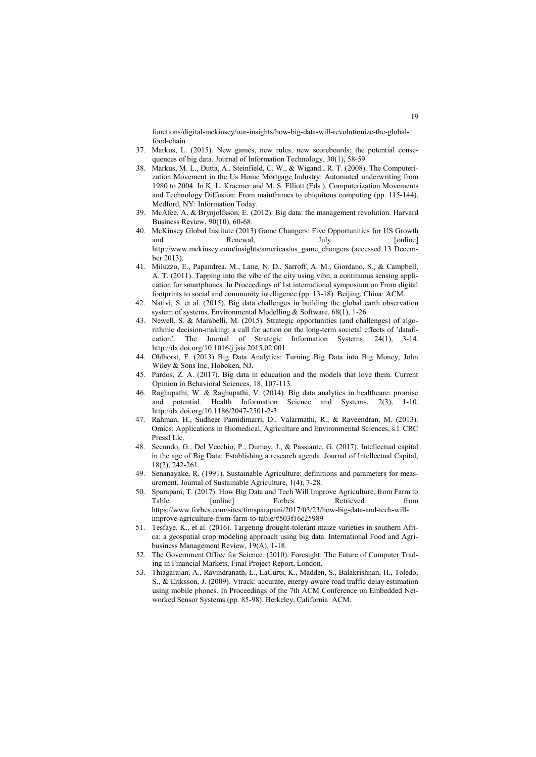functions/digital-mckinsey/our-insights/how-big-data-will-revolutionize-the-globalfood-chain

- 37. Markus, L. (2015). New games, new rules, new scoreboards: the potential consequences of big data. Journal of Information Technology, 30(1), 58-59.
- 38. Markus, M. L., Dutta, A., Steinfield, C. W., & Wigand., R. T. (2008). The Computerization Movement in the Us Home Mortgage Industry: Automated underwriting from 1980 to 2004. In K. L. Kraemer and M. S. Elliott (Eds.), Computerization Movements and Technology Diffusion: From mainframes to ubiquitous computing (pp. 115-144), Medford, NY: Information Today.
- 39. McAfee, A. & Brynjolfsson, E. (2012). Big data: the management revolution. Harvard Business Review, 90(10), 60-68.
- 40. McKinsey Global Institute (2013) Game Changers: Five Opportunities for US Growth and Renewal, July [online] http://www.mckinsey.com/insights/americas/us\_game\_changers (accessed 13 December 2013).
- 41. Miluzzo, E., Papandrea, M., Lane, N. D., Sarroff, A. M., Giordano, S., & Campbell, A. T. (2011). Tapping into the vibe of the city using vibn, a continuous sensing application for smartphones. In Proceedings of 1st international symposium on From digital footprints to social and community intelligence (pp. 13-18). Beijing, China: ACM.
- 42. Nativi, S. et al. (2015). Big data challenges in building the global earth observation system of systems. Environmental Modelling & Software, 68(1), 1-26.
- 43. Newell, S. & Marabelli, M. (2015). Strategic opportunities (and challenges) of algorithmic decision-making: a call for action on the long-term societal effects of 'datafication'. The Journal of Strategic Information Systems, 24(1), 3-14. http://dx.doi.org/10.1016/j.jsis.2015.02.001.
- 44. Ohlhorst, F. (2013) Big Data Analytics: Turning Big Data into Big Money, John Wiley & Sons Inc, Hoboken, NJ.
- 45. Pardos, Z. A. (2017). Big data in education and the models that love them. Current Opinion in Behavioral Sciences, 18, 107-113.
- 46. Raghupathi, W. & Raghupathi, V. (2014). Big data analytics in healthcare: promise and potential. Health Information Science and Systems, 2(3), 1-10. http://dx.doi.org/10.1186/2047-2501-2-3.
- 47. Rahman, H., Sudheer Pamidimarri, D., Valarmathi, R., & Raveendran, M. (2013). Omics: Applications in Biomedical, Agriculture and Environmental Sciences, s.l. CRC PressI Llc.
- 48. Secundo, G., Del Vecchio, P., Dumay, J., & Passiante, G. (2017). Intellectual capital in the age of Big Data: Establishing a research agenda. Journal of Intellectual Capital, 18(2), 242-261.
- 49. Senanayake, R. (1991). Sustainable Agriculture: definitions and parameters for measurement. Journal of Sustainable Agriculture, 1(4), 7-28.
- 50. Sparapani, T. (2017). How Big Data and Tech Will Improve Agriculture, from Farm to Table. [online] Forbes. Retrieved from https://www.forbes.com/sites/timsparapani/2017/03/23/how-big-data-and-tech-willimprove-agriculture-from-farm-to-table/#503f16c25989
- 51. Tesfaye, K., et al. (2016). Targeting drought-tolerant maize varieties in southern Africa: a geospatial crop modeling approach using big data. International Food and Agribusiness Management Review, 19(A), 1-18.
- 52. The Government Office for Science. (2010). Foresight: The Future of Computer Trading in Financial Markets, Final Project Report, London.
- 53. Thiagarajan, A., Ravindranath, L., LaCurts, K., Madden, S., Balakrishnan, H., Toledo, S., & Eriksson, J. (2009). Vtrack: accurate, energy-aware road traffic delay estimation using mobile phones. In Proceedings of the 7th ACM Conference on Embedded Networked Sensor Systems (pp. 85-98). Berkeley, California: ACM.